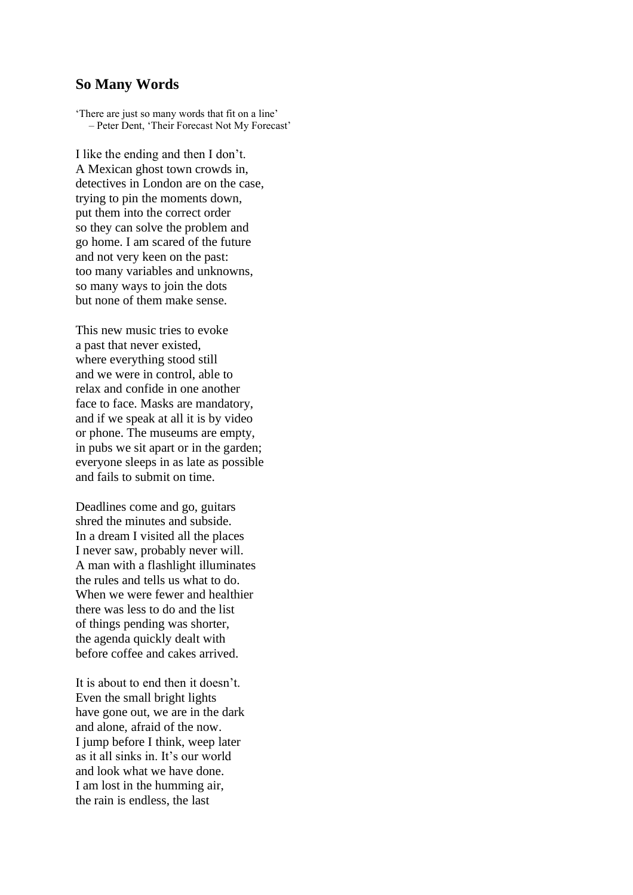## **So Many Words**

'There are just so many words that fit on a line' – Peter Dent, 'Their Forecast Not My Forecast'

I like the ending and then I don't. A Mexican ghost town crowds in, detectives in London are on the case, trying to pin the moments down, put them into the correct order so they can solve the problem and go home. I am scared of the future and not very keen on the past: too many variables and unknowns, so many ways to join the dots but none of them make sense.

This new music tries to evoke a past that never existed, where everything stood still and we were in control, able to relax and confide in one another face to face. Masks are mandatory, and if we speak at all it is by video or phone. The museums are empty, in pubs we sit apart or in the garden; everyone sleeps in as late as possible and fails to submit on time.

Deadlines come and go, guitars shred the minutes and subside. In a dream I visited all the places I never saw, probably never will. A man with a flashlight illuminates the rules and tells us what to do. When we were fewer and healthier there was less to do and the list of things pending was shorter, the agenda quickly dealt with before coffee and cakes arrived.

It is about to end then it doesn't. Even the small bright lights have gone out, we are in the dark and alone, afraid of the now. I jump before I think, weep later as it all sinks in. It's our world and look what we have done. I am lost in the humming air, the rain is endless, the last